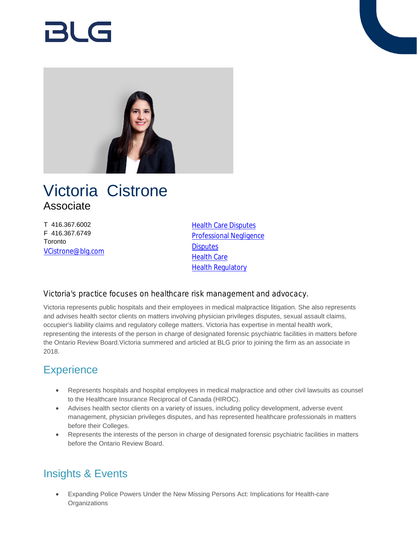# RI G



# Victoria Cistrone Associate

T 416.367.6002 F 416.367.6749 **Toronto** [VCistrone@blg.com](mailto:VCistrone@blg.com) **[Health Care Disputes](https://www.blg.com/en/services/practice-areas/disputes/health-care-disputes)** [Professional Negligence](https://www.blg.com/en/services/practice-areas/disputes/professional-negligence) **[Disputes](https://www.blg.com/en/services/practice-areas/disputes)** [Health Care](https://www.blg.com/en/services/practice-areas/health-care) **[Health Regulatory](https://www.blg.com/en/services/practice-areas/health-care/health-regulatory)** 

#### Victoria's practice focuses on healthcare risk management and advocacy.

Victoria represents public hospitals and their employees in medical malpractice litigation. She also represents and advises health sector clients on matters involving physician privileges disputes, sexual assault claims, occupier's liability claims and regulatory college matters. Victoria has expertise in mental health work, representing the interests of the person in charge of designated forensic psychiatric facilities in matters before the Ontario Review Board.Victoria summered and articled at BLG prior to joining the firm as an associate in 2018.

# **Experience**

- Represents hospitals and hospital employees in medical malpractice and other civil lawsuits as counsel to the Healthcare Insurance Reciprocal of Canada (HIROC).
- Advises health sector clients on a variety of issues, including policy development, adverse event management, physician privileges disputes, and has represented healthcare professionals in matters before their Colleges.
- Represents the interests of the person in charge of designated forensic psychiatric facilities in matters before the Ontario Review Board.

# Insights & Events

 Expanding Police Powers Under the New Missing Persons Act: Implications for Health-care **Organizations**